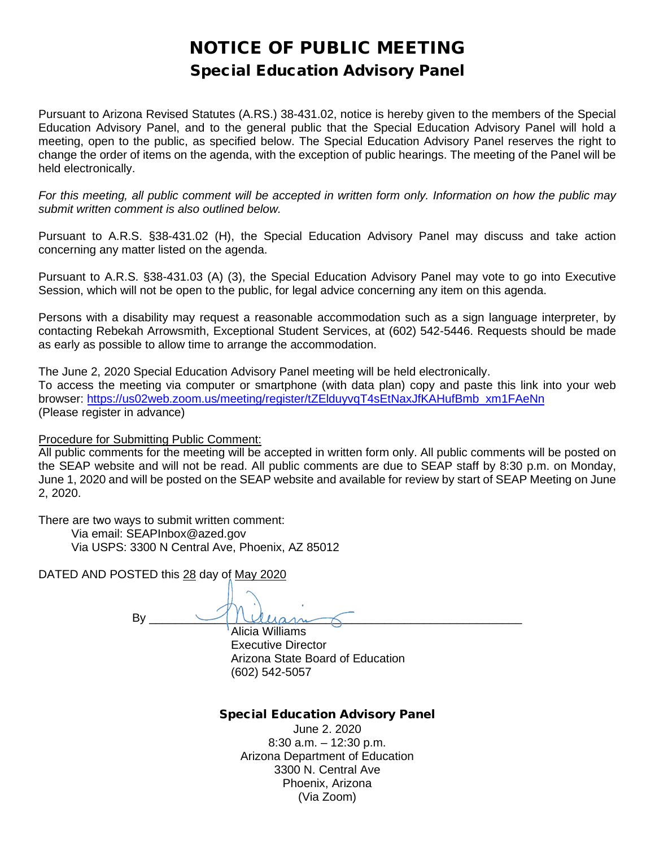# NOTICE OF PUBLIC MEETING Special Education Advisory Panel

Pursuant to Arizona Revised Statutes (A.RS.) 38-431.02, notice is hereby given to the members of the Special Education Advisory Panel, and to the general public that the Special Education Advisory Panel will hold a meeting, open to the public, as specified below. The Special Education Advisory Panel reserves the right to change the order of items on the agenda, with the exception of public hearings. The meeting of the Panel will be held electronically.

*For this meeting, all public comment will be accepted in written form only. Information on how the public may submit written comment is also outlined below.*

Pursuant to A.R.S. §38-431.02 (H), the Special Education Advisory Panel may discuss and take action concerning any matter listed on the agenda.

Pursuant to A.R.S. §38-431.03 (A) (3), the Special Education Advisory Panel may vote to go into Executive Session, which will not be open to the public, for legal advice concerning any item on this agenda.

Persons with a disability may request a reasonable accommodation such as a sign language interpreter, by contacting Rebekah Arrowsmith, Exceptional Student Services, at (602) 542-5446. Requests should be made as early as possible to allow time to arrange the accommodation.

The June 2, 2020 Special Education Advisory Panel meeting will be held electronically. To access the meeting via computer or smartphone (with data plan) copy and paste this link into your web browser: [https://us02web.zoom.us/meeting/register/tZElduyvqT4sEtNaxJfKAHufBmb\\_xm1FAeNn](https://us02web.zoom.us/meeting/register/tZElduyvqT4sEtNaxJfKAHufBmb_xm1FAeNn) (Please register in advance)

Procedure for Submitting Public Comment:

All public comments for the meeting will be accepted in written form only. All public comments will be posted on the SEAP website and will not be read. All public comments are due to SEAP staff by 8:30 p.m. on Monday, June 1, 2020 and will be posted on the SEAP website and available for review by start of SEAP Meeting on June 2, 2020.

There are two ways to submit written comment:

 Via email: SEAPInbox@azed.gov Via USPS: 3300 N Central Ave, Phoenix, AZ 85012

DATED AND POSTED this 28 day of May 2020

 $\mathsf{By} \hspace{0.5cm} \longrightarrow \hspace{0.5cm} \square \hspace{0.5cm} \square$ Alicia Williams Executive Director Arizona State Board of Education

(602) 542-5057

## Special Education Advisory Panel

June 2. 2020 8:30 a.m. – 12:30 p.m. Arizona Department of Education 3300 N. Central Ave Phoenix, Arizona (Via Zoom)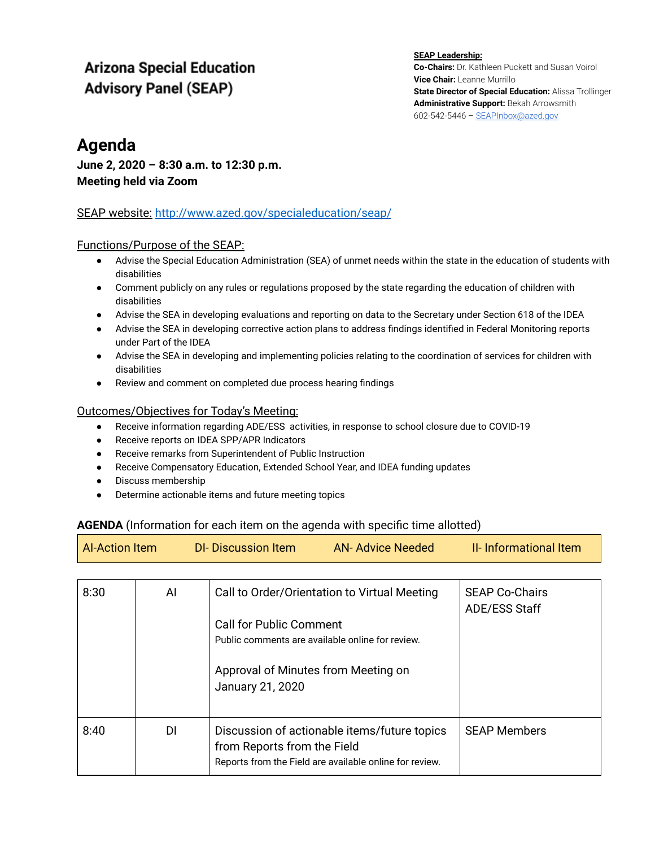# **Arizona Special Education Advisory Panel (SEAP)**

**SEAP Leadership: Co-Chairs:** Dr. Kathleen Puckett and Susan Voirol **Vice Chair:** Leanne Murrillo **State Director of Special Education:** Alissa Trollinger **Administrative Support:** Bekah Arrowsmith 602-542-5446 – [SEAPInbox@azed.gov](mailto:SEAPInbox@azed.gov)

## **Agenda**

## **June 2, 2020 – 8:30 a.m. to 12:30 p.m. Meeting held via Zoom**

## SEAP website[:](http://www.azed.gov/specialeducation/seap/) <http://www.azed.gov/specialeducation/seap/>

#### Functions/Purpose of the SEAP:

- Advise the Special Education Administration (SEA) of unmet needs within the state in the education of students with disabilities
- Comment publicly on any rules or regulations proposed by the state regarding the education of children with disabilities
- Advise the SEA in developing evaluations and reporting on data to the Secretary under Section 618 of the IDEA
- Advise the SEA in developing corrective action plans to address findings identified in Federal Monitoring reports under Part of the IDEA
- Advise the SEA in developing and implementing policies relating to the coordination of services for children with disabilities
- Review and comment on completed due process hearing findings

## Outcomes/Objectives for Today's Meeting:

- Receive information regarding ADE/ESS activities, in response to school closure due to COVID-19
- Receive reports on IDEA SPP/APR Indicators
- Receive remarks from Superintendent of Public Instruction
- Receive Compensatory Education, Extended School Year, and IDEA funding updates
- Discuss membership
- Determine actionable items and future meeting topics

## **AGENDA** (Information for each item on the agenda with specific time allotted)

| Al-Action Item | DI-Discussion Item | AN-Advice Needed | II- Informational Item |
|----------------|--------------------|------------------|------------------------|
|                |                    |                  |                        |

| 8:30 | AI  | Call to Order/Orientation to Virtual Meeting<br><b>Call for Public Comment</b><br>Public comments are available online for review.<br>Approval of Minutes from Meeting on<br>January 21, 2020 | <b>SEAP Co-Chairs</b><br><b>ADE/ESS Staff</b> |
|------|-----|-----------------------------------------------------------------------------------------------------------------------------------------------------------------------------------------------|-----------------------------------------------|
| 8:40 | DI. | Discussion of actionable items/future topics<br>from Reports from the Field<br>Reports from the Field are available online for review.                                                        | <b>SEAP Members</b>                           |